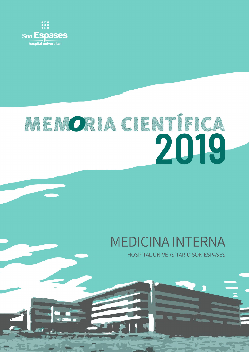

# RENORACIENTE CA 2019

## **MEDICINA INTERNA**

**HOSPITAL UNIVERSITARIO SON ESPASES**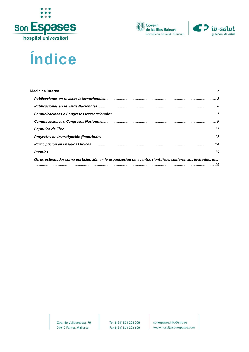





### Índice

| Otras actividades como participación en la organización de eventos científicos, conferencias invitadas, etc. |  |
|--------------------------------------------------------------------------------------------------------------|--|
|                                                                                                              |  |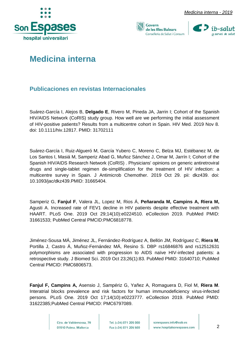





### <span id="page-2-0"></span>**Medicina interna**

#### <span id="page-2-1"></span>**Publicaciones en revistas Internacionales**

Suárez-García I, Alejos B, **Delgado E**, Rivero M, Pineda JA, Jarrin I; Cohort of the Spanish HIV/AIDS Network (CoRIS) study group. How well are we performing the initial assessment of HIV-positive patients? Results from a multicentre cohort in Spain. HIV Med. 2019 Nov 8. doi: 10.1111/hiv.12817. PMID: 31702111

Suárez-García I, Ruiz-Algueró M, García Yubero C, Moreno C, Belza MJ, Estébanez M, de Los Santos I, Masiá M, Samperiz Abad G, Muñoz Sánchez J, Omar M, Jarrín I; Cohort of the Spanish HIV/AIDS Research Network (CoRIS) . Physicians' opinions on generic antiretroviral drugs and single-tablet regimen de-simplification for the treatment of HIV infection: a multicentre survey in Spain. J Antimicrob Chemother. 2019 Oct 29. pii: dkz439. doi: 10.1093/jac/dkz439.PMID: 31665404.

Samperiz G, **Fanjul F**, Valera JL, Lopez M, Rios Á, **Peñaranda M, Campins A, Riera M,**  Agusti A. Increased rate of FEV1 decline in HIV patients despite effective treatment with HAART. PLoS One. 2019 Oct 29;14(10):e0224510. eCollection 2019. PubMed PMID: 31661533; PubMed Central PMCID:PMC6818778.

Jiménez-Sousa MÁ, Jiménez JL, Fernández-Rodríguez A, Bellón JM, Rodríguez C, **Riera M**, Portilla J, Castro Á, Muñoz-Fernández MÁ, Resino S. DBP rs16846876 and rs12512631 polymorphisms are associated with progression to AIDS naïve HIV-infected patients: a retrospective study. J Biomed Sci. 2019 Oct 23;26(1):83. PubMed PMID: 31640710; PubMed Central PMCID: PMC6806573.

**Fanjul F, Campins A,** Asensio J, Sampériz G, Yañez A, Romaguera D, Fiol M, **Riera M**. Interatrial blocks prevalence and risk factors for human immunodeficiency virus-infected persons. PLoS One. 2019 Oct 17;14(10):e0223777. eCollection 2019. PubMed PMID: 31622385;PubMed Central PMCID: PMC6797089.

> Ctra, de Valldemossa, 79 07010 Palma. Mallorca

Tel. (+34) 871 205 000 Fax (+34) 871 205 500 sonespases.info@ssib.es www.hospitalsonespases.com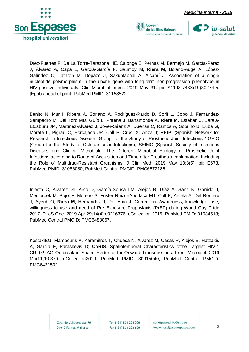





Díez-Fuertes F, De La Torre-Tarazona HE, Calonge E, Pernas M, Bermejo M, García-Pérez J, Álvarez A, Capa L, García-García F, Saumoy M, **Riera M**, Boland-Auge A, López-Galíndez C, Lathrop M, Dopazo J, Sakuntabhai A, Alcamí J. Association of a single nucleotide polymorphism in the ubxn6 gene with long-term non-progression phenotype in HIV-positive individuals. Clin Microbiol Infect. 2019 May 31. pii: S1198-743X(19)30274-5. [Epub ahead of print] PubMed PMID: 31158522.

Benito N, Mur I, Ribera A, Soriano A, Rodríguez-Pardo D, Sorlí L, Cobo J, Fernández-Sampedro M, Del Toro MD, Guío L, Praena J, Bahamonde A, **Riera M**, Esteban J, Baraia-Etxaburu JM, Martínez-Alvarez J, Jover-Sáenz A, Dueñas C, Ramos A, Sobrino B, Euba G, Morata L, Pigrau C, Horcajada JP, Coll P, Crusi X, Ariza J; REIPI (Spanish Network for Research in Infectious Disease) Group for the Study of Prosthetic Joint Infections / GEIO (Group for the Study of Osteoarticular Infections), SEIMC (Spanish Society of Infectious Diseases and Clinical Microbiolo. The Different Microbial Etiology of Prosthetic Joint Infections according to Route of Acquisition and Time after Prosthesis Implantation, Including the Role of Multidrug-Resistant Organisms. J Clin Med. 2019 May 13;8(5). pii: E673. PubMed PMID: 31086080; PubMed Central PMCID: PMC6572185.

Iniesta C, Álvarez-Del Arco D, García-Sousa LM, Alejos B, Díaz A, Sanz N, Garrido J, Meulbroek M, Pujol F, Moreno S, Fuster-RuizdeApodaca MJ, Coll P, Antela A, Del Romero J, Ayerdi O, **Riera M**, Hernández J, Del Amo J. Correction: Awareness, knowledge, use, willingness to use and need of Pre Exposure Prophylaxis (PrEP) during World Gay Pride 2017. PLoS One. 2019 Apr 29;14(4):e0216376. eCollection 2019. PubMed PMID: 31034518; PubMed Central PMCID: PMC6488067.

KostakiEG, Flampouris A, Karamitros T, Chueca N, Alvarez M, Casas P, Alejos B, Hatzakis A, Garcia F, Paraskevis D; **CoRIS**. Spatiotemporal Characteristics ofthe Largest HIV-1 CRF02\_AG Outbreak in Spain: Evidence for Onward Transmissions. Front Microbiol. 2019 Mar11;10:370. eCollection2019. PubMed PMID: 30915040; PubMed Central PMCID: PMC6421502.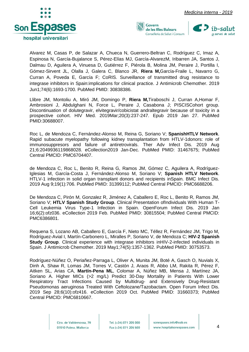



Alvarez M, Casas P, de Salazar A, Chueca N, Guerrero-Beltran C, Rodríguez C, Imaz A, Espinosa N, García-Bujalance S, Pérez-Elías MJ, García-AlvarezM, Iribarren JA, Santos J, Dalmau D, Aguilera A, Vinuesa D, Gutiérrez F, Piérola B, Molina JM, Peraire J, Portilla I, Gómez-Sirvent JL, Olalla J, Galera C, Blanco JR, **Riera M,**García-Fraile L, Navarro G, Curran A, Poveda E, García F; CoRIS. Surveillance of transmitted drug resistance to integrase inhibitors in Spain:implications for clinical practice. J Antimicrob Chemother. 2019 Jun1;74(6):1693-1700. PubMed PMID: 30838386.

Llibre JM, Montoliu A, Miró JM, Domingo P, **Riera M,**Tiraboschi J, Curran A,Homar F, Ambrosioni J, Abdulghani N, Force L, Peraire J, Casabona J; PISCISCohort group. Discontinuation of dolutegravir, elvitegravir/cobicistat andraltegravir because of toxicity in a prospective cohort. HIV Med. 2019Mar;20(3):237-247. Epub 2019 Jan 27. PubMed PMID:30688007.

Roc L, de Mendoza C, Fernández-Alonso M, Reina G, Soriano V; **SpanishHTLV Network**. Rapid subacute myelopathy following kidney transplantation from HTLV-1donors: role of immunosuppresors and failure of antiretrovirals. Ther Adv Infect Dis. 2019 Aug 21;6:2049936119868028. eCollection2019 Jan-Dec. PubMed PMID: 31467675; PubMed Central PMCID: PMC6704407.

de Mendoza C, Roc L, Benito R, Reina G, Ramos JM, Gómez C, Aguilera A, Rodríguez-Iglesias M, García-Costa J, Fernández-Alonso M, Soriano V; **Spanish HTLV Network**. HTLV-1 infection in solid organ transplant donors and recipients inSpain. BMC Infect Dis. 2019 Aug 9;19(1):706. PubMed PMID: 31399112; PubMed Central PMCID: PMC6688206.

De Mendoza C, Pirón M, Gonzalez R, Jiménez A, Caballero E, Roc L, Benito R, Ramos JM, Soriano V; **HTLV Spanish Study Group**. Clinical Presentation ofIndividuals With Human T-Cell Leukemia Virus Type-1 Infection in Spain. OpenForum Infect Dis. 2019 Jan 16;6(2):ofz036. eCollection 2019 Feb. PubMed PMID: 30815504; PubMed Central PMCID: PMC6386801.

Requena S, Lozano AB, Caballero E, García F, Nieto MC, Téllez R, Fernández JM, Trigo M, Rodríguez-Avial I, Martín-Carbonero L, Miralles P, Soriano V, de Mendoza C; **HIV-2 Spanish Study Group**. Clinical experience with integrase inhibitors inHIV-2-infected individuals in Spain. J Antimicrob Chemother. 2019 May1;74(5):1357-1362. PubMed PMID: 30753573.

Rodríguez-Núñez O, Periañez-Parraga L, Oliver A, Munita JM, Boté A, Gasch O, Nuvials X, Dinh A, Shaw R, Lomas JM, Torres V, Castón J, Araos R, Abbo LM, Rakita R, Pérez F, Aitken SL, Arias CA, **Martín-Pena ML**, Colomar A, Núñez MB, Mensa J, Martínez JA, Soriano A. Higher MICs (>2 mg/L) Predict 30-Day Mortality in Patients With Lower Respiratory Tract Infections Caused by Multidrug- and Extensively Drug-Resistant Pseudomonas aeruginosa Treated With Ceftolozane/Tazobactam. Open Forum Infect Dis. 2019 Sep 28;6(10):ofz416. eCollection 2019 Oct. PubMed PMID: 31660373; PubMed Central PMCID: PMC6810667.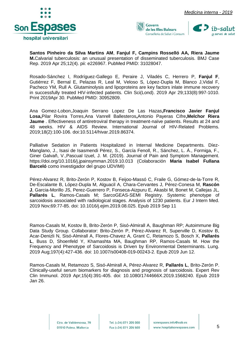





**Santos Pinheiro da Silva Martins AM**, **Fanjul F, Campins Rosselló AA, Riera Jaume M.**Calvarial tuberculosis: an unusual presentation of disseminated tuberculosis. BMJ Case Rep. 2019 Apr 25;12(4). pii: e226967. PubMed PMID: 31028047.

Rosado-Sánchez I, Rodríguez-Gallego E, Peraire J, Viladés C, Herrero P, **Fanjul F**, Gutiérrez F, Bernal E, Pelazas R, Leal M, Veloso S, López-Dupla M, Blanco J,Vidal F, Pacheco YM, Rull A. Glutaminolysis and lipoproteins are key factors inlate immune recovery in successfully treated HIV-infected patients. Clin Sci(Lond). 2019 Apr 29;133(8):997-1010. Print 2019Apr 30. PubMed PMID: 30952809.

Ana Gomez-Lobon,Joaquin Serrano Lopez De Las Hazas**,Francisco Javier Fanjul Losa,**Pilar Rovira Torres,Ana Vanrell Ballesteros**,**Antonio Payeras Cifre**,Melchor Riera Jaume** . Effectiveness of antiretroviral therapy in treatment-naïve patients. Results at 24 and 48 weeks. HIV & AIDS Review. International Journal of HIV-Related Problems. 2019;18(2):100-106. doi:10.5114/hivar.2019.86374.

Palliative Sedation in Patients Hospitalized in Internal Medicine Departments. Díez-Manglano, J., Isasi de Isasmendi Pérez, S., García Fenoll, R., Sánchez, L. Á., Formiga, F., Giner Galvañ, V.,Pascual Izuel, J. M. (2019). Journal of Pain and Symptom Management. https://doi.org/10.1016/j.jpainsymman.2019.10.013 (Colaboración **Maria Isabel Fullana Barceló** como investigador del grupo UDVIMI)

Pérez-Alvarez R, Brito-Zerón P, Kostov B, Feijoo-Massó C, Fraile G, Gómez-de-la-Torre R, De-Escalante B, López-Dupla M, Alguacil A, Chara-Cervantes J, Pérez-Conesa M, **Rascón J**, Garcia-Morillo JS, Perez-Guerrero P, Fonseca-Aizpuru E, Akasbi M, Bonet M, Callejas JL, **Pallarés L**, Ramos-Casals M; SarcoGEAS-SEMI Registry. Systemic phenotype of sarcoidosis associated with radiological stages. Analysis of 1230 patients. Eur J Intern Med. 2019 Nov;69:77-85. doi: 10.1016/j.ejim.2019.08.025. Epub 2019 Sep 11

Ramos-Casals M, Kostov B, Brito-Zerón P, Sisó-Almirall A, Baughman RP; Autoimmune Big Data Study Group. Collaborator: Brito-Zerón P, Pérez-Alvarez R, Superville D, Kostov B, Acar-Denizli N, Sisó-Almirall A, Flores-Chavez A, Grant C, Retamozo S, Bosch X, **Pallarés L**, Buss D, Shoenfeld Y, Khamashta MA, Baughman RP, Ramos-Casals M. How the Frequency and Phenotype of Sarcoidosis is Driven by Environmental Determinants. Lung. 2019 Aug;197(4):427-436. doi: 10.1007/s00408-019-00243-2. Epub 2019 Jun 12.

Ramos-Casals M, Retamozo S, Sisó-Almirall A, Pérez-Alvarez R, **Pallarés L**, Brito-Zerón P. Clinically-useful serum biomarkers for diagnosis and prognosis of sarcoidosis. Expert Rev Clin Immunol. 2019 Apr;15(4):391-405. doi: 10.1080/1744666X.2019.1568240. Epub 2019 Jan 26.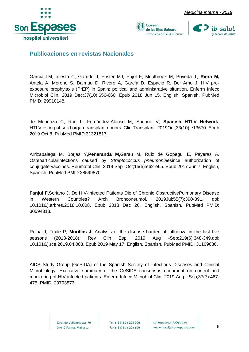







<span id="page-6-0"></span>**Publicaciones en revistas Nacionales**

García LM, Iniesta C, Garrido J, Fuster MJ, Pujol F, Meulbroek M, Poveda T, **Riera M,**  Antela A, Moreno S, Dalmau D, Rivero A, García D, Espacio R, Del Amo J. HIV preexposure prophylaxis (PrEP) in Spain: political and administrative situation. Enferm Infecc Microbiol Clin. 2019 Dec;37(10):656-660. Epub 2018 Jun 15. English, Spanish. PubMed PMID: 29910148.

de Mendoza C, Roc L, Fernández-Alonso M, Soriano V; **Spanish HTLV Network**. HTLVtesting of solid organ transplant donors. Clin Transplant. 2019Oct;33(10):e13670. Epub 2019 Oct 8. PubMed PMID:31321817.

Arrizabalaga M, Borjas Y,**Peñaranda M,**Garau M, Ruíz de Gopegui E, Payeras A. Osteoarticularinfections caused by *Streptococcus pneumoniae*since authorization of conjugate vaccines. Reumatol Clin. 2019 Sep -Oct;15(5):e62-e65. Epub 2017 Jun 7. English, Spanish. PubMed PMID:28599870.

**Fanjul F,**Soriano J. Do HIV-Infected Patients Die of Chronic ObstructivePulmonary Disease in Western Countries? Arch Bronconeumol. 2019Jul;55(7):390-391. doi: 10.1016/j.arbres.2018.10.008. Epub 2018 Dec 26. English, Spanish. PubMed PMID: 30594318.

Reina J, Fraile P, **Murillas J**. Analysis of the disease burden of influenza in the last five seasons (2013-2018). Rev Clin Esp. 2019 Aug -Sep;219(6):348-349.doi: 10.1016/j.rce.2019.04.003. Epub 2019 May 17. English, Spanish. PubMed PMID: 31109686.

AIDS Study Group (GeSIDA) of the Spanish Society of Infectious Diseases and Clinical Microbiology. Executive summary of the GeSIDA consensus document on control and monitoring of HIV-infected patients. Enferm Infecc Microbiol Clin. 2019 Aug - Sep;37(7):467- 475. PMID: 29793873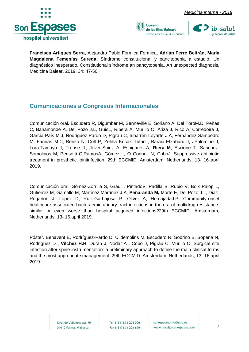



**Francisca Artigues Serra,** Alejandro Pablo Formica Formica, **Adrián Ferré Beltrán, María Magdalena Femenías Sureda**. Síndrome constitucional y pancitopenia a estudio. Un diagnóstico inesperado. Constitutional síndrome an pancytopenia. An unexpected diagnosis. Medicina Balear. 2019; 34: 47-50.

#### <span id="page-7-0"></span>**Comunicaciones a Congresos Internacionales**

Comunicación oral. Escudero R, Digumber M, Senneville E, Soriano A, Del ToroM.D, Peñas C, Bahamonde A, Del Pozo J.L, GuioL, Ribera A, Murillo O, Ariza J, Rico A, Corredoira J, García-País M.J, Rodríguez-Pardo D, Pigrau C, Iribarren Loyarte J.A, Fernández-Sampedro M, Farinas M.C, Benito N, Coll P, Zeliha Kocak Tufan , Baraia-Etxaburu J, JPalomino J, Lora-Tamayo J, Trebse R, Jóver-Sainz A, Espigares A, **Riera M**, Ascione T, Sanchez-Somolinos M, Pensotti C,RamosA, Gómez L, O Connell N, CoboJ. Suppressive antibiotic treatment in prosthetic jointinfection. 29th ECCMID. Amsterdam, Netherlands, 13- 16 april 2019.

Comunicación oral. Gómez-Zorrilla S, Grau I, PintadoV, Padilla B, Rubio V, Boix Palop L, Gutierrez M, Gamallo M, Martínez Martínez J.A, **Peñaranda M,** Morte E, Del Pozo J.L, Diaz-Regañon J, Lopez D, Ruiz-Garbajosa P, Oliver A, HorcajadaJ.P. Community-onset healthcare-associated bacteraemic urinary tract infections in the era of multidrug resistance: similar or even worse than hospital acquired infections?29th ECCMID. Amsterdam, Netherlands, 13- 16 april 2019.

Póster. Benavent E, Rodríguez-Pardo D, Ulldemolins M, Escudero R, Sobrino B, Sopena N, Rodriguez D , **Vilchez H.H**, Duran J, Nodar A , Cobo J, Pigrau C, Murillo O. Surgical site infection after spine instrumentation: a preliminary approach to define the main clinical forms and the most appropriate management. 29th ECCMID. Amsterdam, Netherlands, 13- 16 april 2019.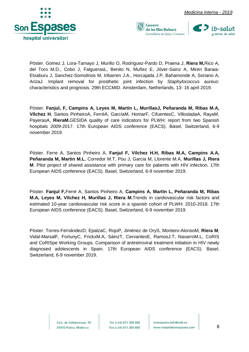





Póster. Gomez J, Lora-Tamayo J, Murillo O, Rodríguez-Pardo D, Praena J, **Riera M,**Rico A, del Toro M.D., Cobo J, FalguerasL, Benito N, Muñez E, Jóver-Sainz A, Miren Baraia-Etxaburu J, Sanchez-Somolinos M, Iribarren J.A., Horcajada J.P, Bahamonde A, Soriano A, ArizaJ. Implant removal for prosthetic joint infection by *Staphylococcus aureus*: characteristics and prognosis. 29th ECCMID. Amsterdam, Netherlands, 13- 16 april 2019.

Póster. **Fanjul, F, Campins A, Leyes M, Martín L, MurillasJ, Peñaranda M, Ribas M.A, Vílchez H**, Santos PinheiroA, FerréA, GarcíaM, HomarF, CifuentesC, VillosladaA, RayaM, PayerasA, **RieraM.**GESIDA quality of care indicators for PLWH: report from two Spanish hospitals 2009-2017. 17th European AIDS conference (EACS). Basel, Switzerland, 6-9 november 2019.

Póster. Ferre A, Santos Pinheiro A, **Fanjul F, Vilchez H.H, Ribas M.A, Campins A.A, Peñaranda M, Martin M.L**, Corredor M.T, Pou J, Garcia M, Llorente M.A, **Murillas J, Riera M**. Pilot project of shared assistance with primary care for patients with HIV infection. 17th European AIDS conference (EACS). Basel, Switzerland, 6-9 november 2019.

Póster. **Fanjul F,**Ferré A, Santos Pinheiro A, **Campins A, Martín L, Peñaranda M, Ribas M.A, Leyes M, Vílchez H, Murillas J, Riera M.**Trends in cardiovascular risk factors and estimated 10-year cardiovascular risk score in a spanish cohort of PLWH: 2010-2018. 17th European AIDS conference (EACS). Basel, Switzerland, 6-9 november 2019.

Póster. Torres-FernándezD, EpalzaC, RojoP, Jiménez de OryS, Montero-AlonsoM, **Riera M**, Vidal-MarsalF, FortunyC, FrickxM.A, SáinzT, CervantesE, RamosJ.T, NavarroM.L, CoRIS and CoRISpe Working Groups. Comparison of antiretroviral treatment initiation in HIV newly diagnosed adolescents in Spain. 17th European AIDS conference (EACS). Basel, Switzerland, 6-9 november 2019.

> Ctra, de Valldemossa, 79 07010 Palma. Mallorca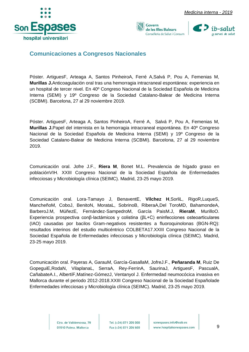





#### <span id="page-9-0"></span>**Comunicaciones a Congresos Nacionales**

Póster. ArtiguesF, Arteaga A, Santos PinheiroA, Ferré A,Salvá P, Pou A, Femenias M, **Murillas J.**Anticoagulación oral tras una hemorragia intracraneal espontánea: experiencia en un hospital de tercer nivel. En 40º Congreso Nacional de la Sociedad Española de Medicina Interna (SEMI) y 19º Congreso de la Sociedad Catalano-Balear de Medicina Interna (SCBMI). Barcelona, 27 al 29 noviembre 2019.

Póster. ArtiguesF, Arteaga A, Santos PinheiroA, Ferré A, Salvá P, Pou A, Femenias M, **Murillas J.**Papel del internista en la hemorragia intracraneal espontánea. En 40º Congreso Nacional de la Sociedad Española de Medicina Interna (SEMI) y 19º Congreso de la Sociedad Catalano-Balear de Medicina Interna (SCBMI). Barcelona, 27 al 29 noviembre 2019.

Comunicación oral. Jofre J.F., **Riera M**, Bonet M.L. Prevalencia de hígado graso en poblaciónVIH. XXIII Congreso Nacional de la Sociedad Española de Enfermedades infecciosas y Microbiología clínica (SEIMC). Madrid, 23-25 mayo 2019.

Comunicación oral. Lora-Tamayo J, BenaventE, **Vílchez H**,SorliL, RigoR,LuqueS, MancheñoM, CoboJ, BenitoN, MorataL, SobrinoB, RiberaA,Del ToroMD, BahamondeA, BarberoJ.M, MúñezE, Fernández-SampedroM, García PaisM.J, **RieraM**, MurilloO. Experiencia prospectiva conβ-lactámicos y colistina (βL+C) eninfecciones osteoarticulares (IAO) causadas por bacilos Gram-negativos resistentes a fluoroquinolonas (BGN-RQ): resultados interinos del estudio multicéntrico COLBETA17.XXIII Congreso Nacional de la Sociedad Española de Enfermedades infecciosas y Microbiología clínica (SEIMC). Madrid, 23-25 mayo 2019.

Comunicación oral. Payeras A, GarauM, García-GasallaM, JofreJ.F., **Peñaranda M**, Ruiz De GopeguiE,RodaN, VilaplanaL, SerraA, Rey-FerrinA, SaurinaJ, ArtiguesF, PascualA, CañabateA.I., AlbertíF,Matínez-GómezJ, Ventanyol J. Enfermedad neumocócica invasiva en Mallorca durante el periodo 2012-2018.XXIII Congreso Nacional de la Sociedad Españolade Enfermedades infecciosas y Microbiología clínica (SEIMC). Madrid, 23-25 mayo 2019.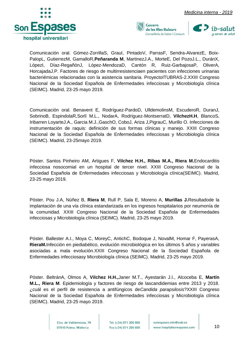





Comunicación oral. Gómez-ZorrillaS, GrauI, PintadoV, ParrasF, Sendra-AlvarezE, Boix-PalopL, GutierrezM, GamalloR,**Peñaranda M**, MartinezJ.A., MorteE, Del PozoJ.L., DuránX, LópezI, Díaz-RegañónJ, López-MendozaD, Cantón R, Ruiz-GarbajosaP, OliverA, HorcajadaJ.P. Factores de riesgo de multirresistenciaen pacientes con infecciones urinarias bacteriémicas relacionadas con la asistencia sanitaria. ProyectoITUBRAS-2.XXIII Congreso Nacional de la Sociedad Española de Enfermedades infecciosas y Microbiología clínica (SEIMC). Madrid, 23-25 mayo 2019.

Comunicación oral. Benavent E, Rodríguez-PardoD, UlldemolinsM, EscuderoR, DuranJ, SobrinoB, EspindolaR,Sorlí M.L., NodarA, Rodríguez-MontserratD, **VilchezH.H**, BlancoS, Iribarren LoyarteJ.A., Garcia M.J.,GaschO, CoboJ, Ariza J,PigrauC, Murillo O. Infecciones de instrumentación de raquis: definición de sus formas clínicas y manejo. XXIII Congreso Nacional de la Sociedad Española de Enfermedades infecciosas y Microbiología clínica (SEIMC). Madrid, 23-25mayo 2019.

Póster. Santos Pinheiro AM, Artigues F, **Vilchez H.H., Ribas M.A., Riera M.**Endocarditis infecciosa nosocomial en un hospital de tercer nivel. XXIII Congreso Nacional de la Sociedad Española de Enfermedades infecciosas y Microbiología clínica(SEIMC). Madrid, 23-25 mayo 2019.

Póster. Pou J.A, Núñez B, **Riera M**, Rull P, Sala E, Moreno A, **Murillas J.**Resultadode la implantación de una vía clínica estandarizada en los ingresos hospitalarios por neumonía de la comunidad. XXIII Congreso Nacional de la Sociedad Española de Enfermedades infecciosas y Microbiología clínica (SEIMC). Madrid, 23-25 mayo 2019.

Póster. Ballester A.I., Moya C, MoreyC, AntichC, Bodoque J, NovalM, Homar F, PayerasA, **RieraM.**Infección en piediabético, evolución microbiológica en los últimos 5 años y variables asociadas a mala evolución.XXIII Congreso Nacional de la Sociedad Española de Enfermedades infecciosasy Microbiología clínica (SEIMC). Madrid, 23-25 mayo 2019.

Póster. BeltránA, Olmos A, **Vilchez H.H.,**Janer M.T., Ayestarán J.I., Alcoceba E, **Martín M.L., Riera M**. Epidemiología y factores de riesgo de lascandidemias entre 2013 y 2018. ¿cuál es el perfil de resistencia a antifúngicos de*Candida parapsilosis*?XXIII Congreso Nacional de la Sociedad Española de Enfermedades infecciosas y Microbiología clínica (SEIMC). Madrid, 23-25 mayo 2019.

> Ctra, de Valldemossa, 79 07010 Palma. Mallorca

Tel. (+34) 871 205 000 Fax (+34) 871 205 500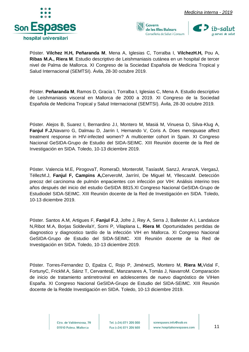



Póster. **Vilchez H.H, Peñaranda M**, Mena A, Iglesias C, Torralba I, **VilchezH.H,** Pou A, **Ribas M.A., Riera M**. Estudio descriptivo de Leishmaniasis cutánea en un hospital de tercer nivel de Palma de Mallorca. XI Congreso de la Sociedad Española de Medicina Tropical y Salud Internacional (SEMTSI). Ávila, 28-30 octubre 2019.

Póster. **Peñaranda M**, Ramos D, Gracia I, Torralba I, Iglesias C, Mena A. Estudio descriptivo de Leishmaniasis visceral en Mallorca de 2000 a 2019. XI Congreso de la Sociedad Española de Medicina Tropical y Salud Internacional (SEMTSI). Ávila, 28-30 octubre 2019.

Póster. Alejos B, Suarez I, Bernardino J.I, Montero M, Masiá M, Vinuesa D, Silva-Klug A, **Fanjul F.J,**Navarro G, Dalmau D, Jarrin I, Hernando V, Coris A. Does menopuase affect treatment response in HIV-infected women? A multicenter cohort in Spain. XI Congreso Nacional GeSIDA-Grupo de Estudio del SIDA-SEIMC. XIII Reunión docente de la Red de Investigación en SIDA. Toledo, 10-13 diciembre 2019.

Póster. Valencia M.E, PirogovaT, RomeraD, MonteroM, TasíasM, SanzJ, ArranzA, VergasJ, TéllezM.J, **Fanjul F, Campins A,**CerveroM, JarrínI, De Miguel M, YllescasM. Detección precoz del carcinoma de pulmón enpacientes con infección por VIH: Análisis interino tres años después del inicio del estudio GeSIDA 8815.XI Congreso Nacional GeSIDA-Grupo de Estudiodel SIDA-SEIMC. XIII Reunión docente de la Red de Investigación en SIDA. Toledo, 10-13 diciembre 2019.

Póster. Santos A.M, Artigues F, **Fanjul F.J**, Jofre J, Rey A, Serra J, Ballester A.I, Landaluce N,Ribot M.A, Borjas SoldevilaY, Sorni P, Vilaplana L, **Riera M**. Oportunidades perdidas de diagnostico y diagnostico tardío de la infección VIH en Mallorca. XI Congreso Nacional GeSIDA-Grupo de Estudio del SIDA-SEIMC. XIII Reunión docente de la Red de Investigación en SIDA. Toledo, 10-13 diciembre 2019.

Póster. Torres-Fernandez D, Epalza C, Rojo P, JiménezS, Montero M, **Riera M,**Vidal F, FortunyC, FrickM.A, Sáinz T, CervantesE, Manzanares A, Tomás J, NavarroM. Comparación de inicio de tratamiento antirretroviral en adolescentes de nuevo diagnóstico de VIHen España. XI Congreso Nacional GeSIDA-Grupo de Estudio del SIDA-SEIMC. XIII Reunión docente de la Redde Investigación en SIDA. Toledo, 10-13 diciembre 2019.

> Ctra, de Valldemossa, 79 07010 Palma. Mallorca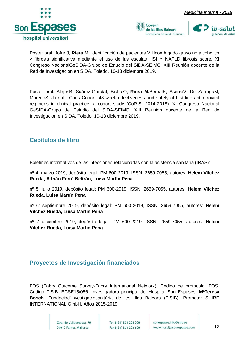





Póster oral. Jofre J, **Riera M**. Identificación de pacientes VIHcon hígado graso no alcohólico y fibrosis significativa mediante el uso de las escalas HSI Y NAFLD fibrosis score. XI Congreso NacionalGeSIDA-Grupo de Estudio del SIDA-SEIMC. XIII Reunión docente de la Red de Investigación en SIDA. Toledo, 10-13 diciembre 2019.

Póster oral. AlejosB, Suárez-GarcíaI, BisbalO, **Riera M,**BernalE, AsensiV, De ZárragaM, MorenoS, JarrínI, -Coris Cohort. 48-week effectiveness and safety of first-line antiretroviral regimens in clinical practice: a cohort study (CoRIS, 2014-2018). XI Congreso Nacional GeSIDA-Grupo de Estudio del SIDA-SEIMC. XIII Reunión docente de la Red de Investigación en SIDA. Toledo, 10-13 diciembre 2019.

#### <span id="page-12-0"></span>**Capítulos de libro**

Boletines informativos de las infecciones relacionadas con la asistencia sanitaria (IRAS):

nº 4: marzo 2019, depósito legal: PM 600-2019, ISSN: 2659-7055, autores: **Helem Vilchez Rueda, Adrián Ferré Beltrán, Luisa Martín Pena** 

nº 5: julio 2019, depósito legal: PM 600-2019, ISSN: 2659-7055, autores: **Helem Vilchez Rueda, Luisa Martín Pena** 

nº 6: septiembre 2019, depósito legal: PM 600-2019, ISSN: 2659-7055, autores: **Helem Vilchez Rueda, Luisa Martín Pena** 

nº 7 diciembre 2019, depósito legal: PM 600-2019, ISSN: 2659-7055, autores: **Helem Vilchez Rueda, Luisa Martín Pena** 

#### <span id="page-12-1"></span>**Proyectos de Investigación financiados**

FOS (Fabry Outcome Survey-Fabry International Network). Código de protocolo: FOS. Código FISIB: ECSE15/056. Investigadora principal del Hospital Son Espases: **MªTeresa Bosch**. Fundaciód´investigaciósanitària de les Illes Balears (FISIB). Promotor SHIRE INTERNATIONAL GmbH. Años 2015-2019.

> Ctra, de Valldemossa, 79 07010 Palma. Mallorca

Tel. (+34) 871 205 000 Fax (+34) 871 205 500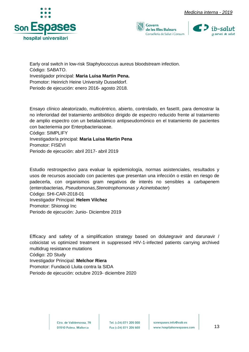





Early oral switch in low-risk Staphylococcus aureus bloodstream infection. Código: SABATO. Investigador principal: **Maria Luisa Martin Pena.**  Promotor: Heinrich Heine University Dusseldorf. Periodo de ejecución: enero 2016- agosto 2018.

Ensayo clínico aleatorizado, multicéntrico, abierto, controlado, en faseIII, para demostrar la no inferioridad del tratamiento antibiótico dirigido de espectro reducido frente al tratamiento de amplio espectro con un betalactámico antipseudomónico en el tratamiento de pacientes con bacteriemia por Enterpbacteriaceae.

Código: SIMPLIFY

#### Investigador/a principal: **Maria Luisa Martin Pena**

Promotor: FISEVI

Periodo de ejecución: abril 2017- abril 2019

Estudio restrospectivo para evaluar la epidemiología, normas asistenciales, resultados y usos de recursos asociado con pacientes que presentan una infección o están en riesgo de padecerla, con organismos gram negativos de interés no sensibles a carbapenem (enterobacterias, *Pseudomonas,Stenotrophomonas y Acinetobacter*) Código: SHI-CAR-2018-01

Investigador Principal: **Helem Vilchez**  Promotor: Shionogi Inc Periodo de ejecución: Junio- Diciembre 2019

Efficacy and safety of a simplification strategy based on dolutegravir and darunavir / cobicistat vs optimized treatment in suppressed HIV-1-infected patients carrying archived multidrug resistance mutations Código: 2D Study

Investigador Principal: **Melchor Riera**  Promotor: Fundació Lluita contra la SIDA Periodo de ejecución: octubre 2019- diciembre 2020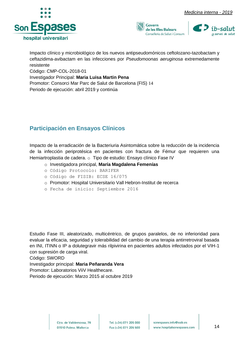





Impacto clínico y microbiológico de los nuevos antipseudomónicos ceftolozano-tazobactam y ceftazidima-avibactam en las infecciones por *Pseudomoonas aeruginosa* extremedamente resistente

Código: CMP-COL-2018-01

Investigador Principal: **Maria Luisa Martin Pena** 

Promotor: Consorci Mar Parc de Salut de Barcelona (FIS) 14

Periodo de ejecución: abril 2019 y continúa

#### <span id="page-14-0"></span>**Participación en Ensayos Clínicos**

Impacto de la erradicación de la Bacteriuria Asintomática sobre la reducción de la incidencia de la infección periprotésica en pacientes con fractura de Fémur que requieren una Hemiartroplastia de cadera. o Tipo de estudio: Ensayo clínico Fase IV

- o Investigadora principal, **María Magdalena Femenías**
- o Código Protocolo: BARIFER
- o Código de FISIB: ECSE 16/075
- o Promotor: Hospital Universitario Vall Hebron-Institut de recerca
- o Fecha de inicio: Septiembre 2016

Estudio Fase III, aleatorizado, multicéntrico, de grupos paralelos, de no inferioridad para evaluar la eficacia, seguridad y tolerabilidad del cambio de una terapia antirretroviral basada en INI, ITINN o IP a dolutegravir más rilpivirina en pacientes adultos infectados por el VIH-1 con supresión de carga viral.

Código: SWORD

Investigador principal: **Maria Peñaranda Vera** 

Promotor: Laboratorios ViiV Healthecare.

Periodo de ejecución: Marzo 2015 al octubre 2019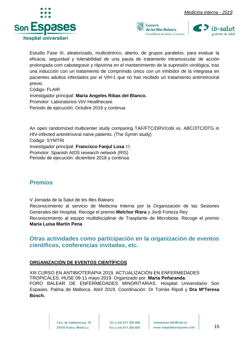





Estudio Fase III, aleatorizado, multicéntrico, aberto, de grupos paralelos, para evaluar la eficacia, seguridad y tolerabilidad de una pauta de tratamento intramuscular de acción prolongada com cabotegravir y rilpivirina en el mantenimiento de la supresión virológica, tras una inducción con un tratamiento de comprimido único con un inhibidor de la integrasa en pacientes adultos infectados por el VIH-1 que no han recibido un tratamiento antirretroviral previo.

Código: FLAIR Investigador principal: **Maria Angeles Ribas del Blanco.**  Promotor: Laboratorios ViiV Healthecare. Periodo de ejecución: Octubre 2016 y continua

An open randomized multicenter study comparing TAF/FTC/DRV/cobi vs. ABC/3TC/DTG in HIV-infected antiretroviral naïve patients. (The Symtri study) Código: SYMTRI Investigador principal: **Francisco Fanjul Losa** 15 Promotor: Spanish AIDS research network (RIS) Periodo de ejecución: diciembre 2018 y continúa

#### <span id="page-15-0"></span>**Premios**

V Jornada de la Salut de les Illes Balears:

Reconocimiento al servicio de Medicina Interna por la Organización de las Sesiones Generales del Hospital. Recoge el premio **Melchor Riera** y Jordi Forteza Rey

Reconocimiento al equipo multidisciplinar de Trasplante de Microbiota. Recoge el premio **María Luisa Martín Pena**

#### <span id="page-15-1"></span>**Otras actividades como participación en la organización de eventos científicos, conferencias invitadas, etc.**

#### **ORGANIZACIÓN DE EVENTOS CIENTÍFICOS**

XIII CURSO EN ANTIBIOTERAPIA 2019. ACTUALIZACIÓN EN ENFERMEDADES TROPICALES. HUSE 09-11 mayo 2019. Organizado por: **María Peñaranda**. FORO BALEAR DE ENFERMEDADES MINORITARIAS. Hospital Universitario Son Espases. Palma de Mallorca. Abril 2019. Coordinación: Dr Tomàs Ripoll y **Dra MªTeresa Bosch.**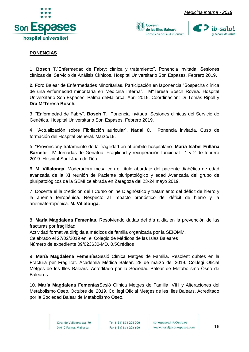



#### **PONENCIAS**

1. **Bosch T.**"Enfermedad de Fabry: clínica y tratamiento". Ponencia invitada. Sesiones clínicas del Servicio de Análisis Clínicos. Hospital Universitario Son Espases. Febrero 2019.

**2.** Foro Balear de Enfermedades Minoritarias. Participación en laponencia "Sospecha clínica de una enfermedad minoritaria en Medicina Interna". MªTeresa Bosch Rovira. Hospital Universitario Son Espases. Palma deMallorca. Abril 2019. Coordinación: Dr Tomàs Ripoll y **Dra MªTeresa Bosch.** 

3. "Enfermedad de Fabry". **Bosch T**. Ponencia invitada. Sesiones clínicas del Servicio de Genética. Hospital Universitario Son Espases. Febrero 2019.

4. "Actualización sobre Fibrilación auricular". **Nadal C**. Ponencia invitada. Cuso de formación del Hospital General. Marzo/19.

5. "Prevencióny tratamiento de la fragilidad en el ámbito hospitalario. **Maria Isabel Fullana Barceló**. IV Jornadas de Geriatría. Fragilidad y recuperación funcional. 1 y 2 de febrero 2019. Hospital Sant Joan de Déu.

6. **M. Villalonga**. Moderadora mesa con el título abordaje del paciente diabético de edad avanzada de la XI reunión de Paciente pluripatológico y edad Avanzada del grupo de pluripatológicos de la SEMI celebrada en Zaragoza del 23-24 mayo 2019.

7. Docente el la 1ºedición del I Curso online Diagnóstico y tratamiento del déficit de hierro y la anemia ferropénica. Respecto al impacto pronóstico del déficit de hierro y la anemiaferropénica. **M. Villalonga.**

8. **María Magdalena Femenías**. Resolviendo dudas del día a día en la prevención de las fracturas por fragilidad

Actividad formativa dirigida a médicos de familia organizada por la SEIOMM. Celebrado el 27/02/2019 en el Colegio de Médicos de las Islas Baleares Número de expediente 09/023630-MD. 0.5Créditos

9. **María Magdalena Femenías**Sesió Clínica Metges de Familia. Resolent dubtes en la Fractura per Fragilitat. Academia Médica Balear. 28 de marzo del 2019. Col.legi Oficial Metges de les Illes Balears. Acreditado por la Sociedad Balear de Metabolismo Óseo de Baleares

10. **María Magdalena Femenías**Sesió Clínica Metges de Familia. VIH y Alteraciones del Metabolismo Óseo. Octubre del 2019. Col.legi Oficial Metges de les Illes Balears. Acreditado por la Sociedad Balear de Metabolismo Óseo.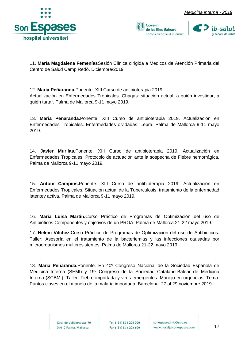





11. **María Magdalena Femenías**Sesión Clínica dirigida a Médicos de Atención Primaria del Centro de Salud Camp Redó. Diciembre/2019.

12. **Maria Peñaranda.**Ponente. XIII Curso de antibioterapia 2019.

Actualización en Enfermedades Tropicales. Chagas: situación actual, a quién investigar, a quién tartar. Palma de Mallorca 9-11 mayo 2019.

13. **Maria Peñaranda.**Ponente. XIII Curso de antibioterapia 2019. Actualización en Enfermedades Tropicales. Enfermedades olvidadas: Lepra. Palma de Mallorca 9-11 mayo 2019.

14. **Javier Murilas.**Ponente. XIII Curso de antibioterapia 2019. Actualización en Enfermedades Tropicales. Protocolo de actuación ante la sospecha de Fiebre hemorrágica. Palma de Mallorca 9-11 mayo 2019.

15. **Antoni Campins.**Ponente. XIII Curso de antibioterapia 2019. Actualización en Enfermedades Tropicales. Situación actual de la Tuberculosis, tratamiento de la enfermedad latentey activa. Palma de Mallorca 9-11 mayo 2019.

16. **Maria Luisa Martin.**Curso Práctico de Programas de Optimización del uso de Antibióticos.Componentes y objetivos de un PROA. Palma de Mallorca 21-22 mayo 2019.

17. **Helem Vilchez.**Curso Práctico de Programas de Optimización del uso de Antibióticos. Taller: Asesoría en el tratamiento de la bacteriemias y las infecciones causadas por microorganismos multirresistentes. Palma de Mallorca 21-22 mayo 2019.

18. **Maria Peñaranda.**Ponente. En 40º Congreso Nacional de la Sociedad Española de Medicina Interna (SEMI) y 19º Congreso de la Sociedad Catalano-Balear de Medicina Interna (SCBMI). Taller: Fiebre importada y virus emergentes. Manejo en urgencias: Tema: Puntos claves en el manejo de la malaria importada. Barcelona, 27 al 29 noviembre 2019.